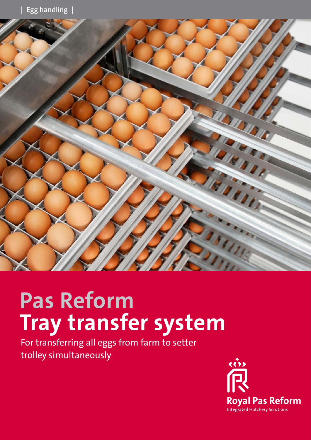

# **Pas Reform Tray transfer system**

For transferring all eggs from farm to setter trolley simultaneously